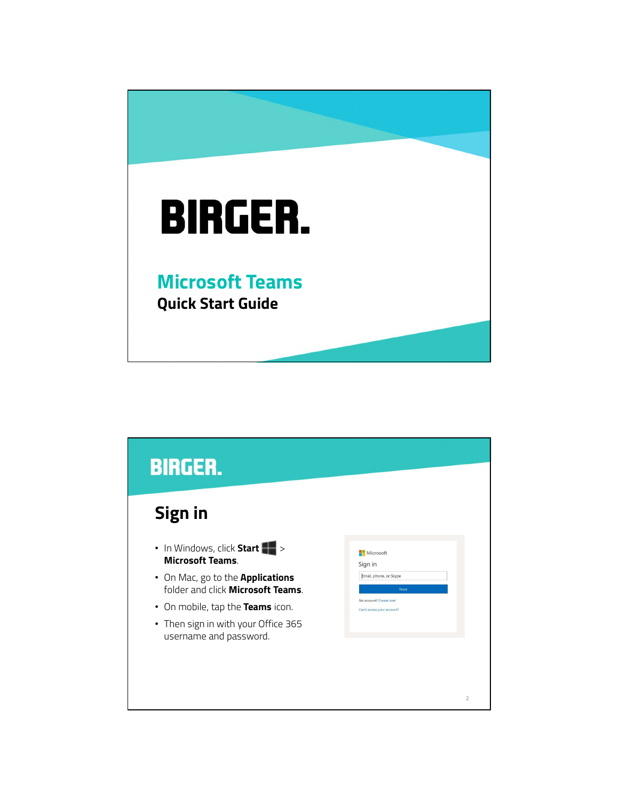

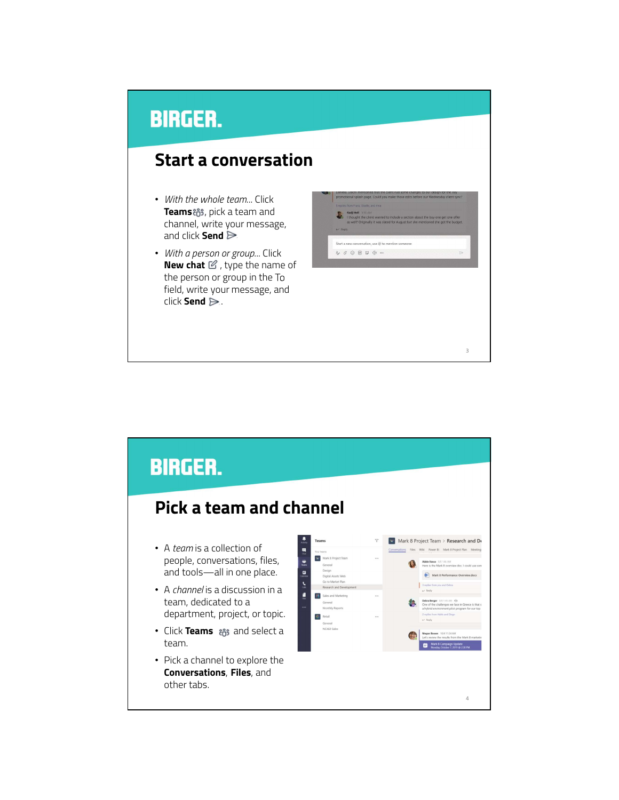#### Start a conversation

- With the whole team... Click Teams & , pick a team and channel, write your message, and click Send  $\triangleright$
- With a person or group... Click **New chat**  $\mathcal{C}$ , type the name of the person or group in the To field, write your message, and click Send  $\triangleright$ . .



 $3 \qquad \qquad$ 

#### **BIRGER.** Pick a team and channel Mark 8 Project Team > Research and D. Teams • A team is a collection of tions Files Wiki Power Bl Mark 8 Project Plan Meet A *team* is a collection of<br>people, conversations, files,<br>and tools—all in one place.  $\bullet$ Adele Vance 1/8 1:05 A and tools—all in one place. Mark 8 Perform • A *channel* is a discussion in a team, dedicated to a department, project, or topic.  $\Phi$ • Click Teams and select a team. • Pick a channel to explore the Conversations, Files, and other tabs. 4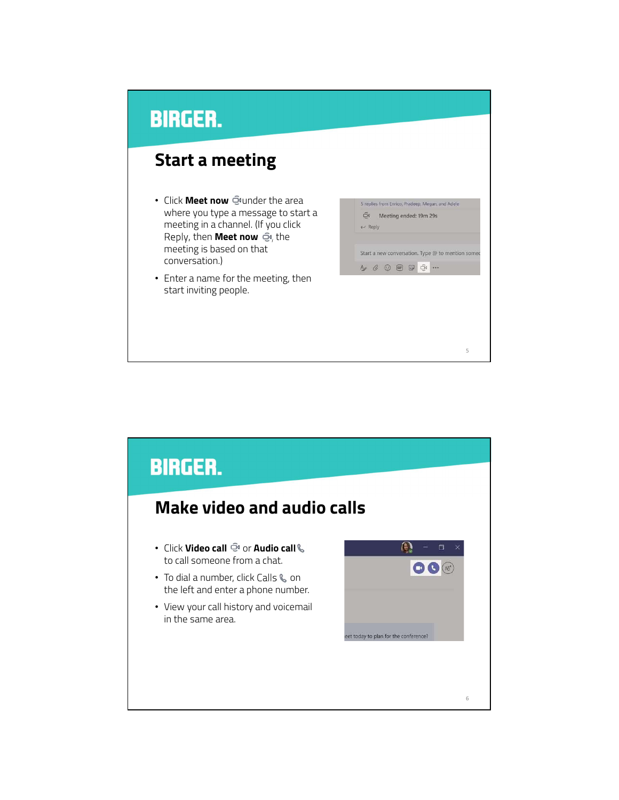#### Start a meeting

- Click Meet now **Quartion** the area where you type a message to start a meeting in a channel. (If you click Reply, then **Meet now**  $\bar{\mathbb{C}}$ <sup>4</sup>, the meeting is based on that conversation.)
- Enter a name for the meeting, then start inviting people.

| $\Box$             |  |  |                        | 5 replies from Enrico, Pradeep, Megan, and Adele  |  |
|--------------------|--|--|------------------------|---------------------------------------------------|--|
| $\leftarrow$ Reply |  |  | Meeting ended: 19m 29s |                                                   |  |
|                    |  |  |                        | Start a new conversation. Type @ to mention somed |  |
|                    |  |  | A & © @ D Q            |                                                   |  |



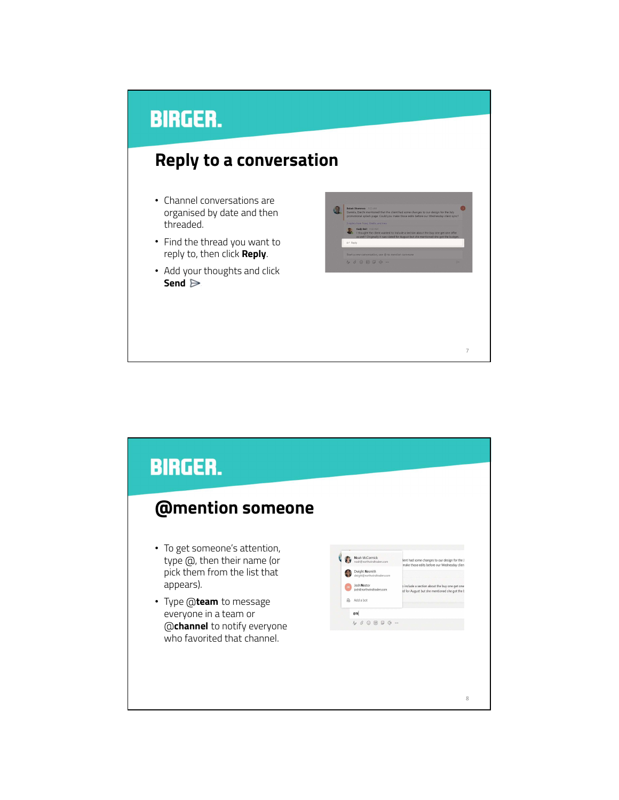#### Reply to a conversation

- Channel conversations are organised by date and then threaded.
- Find the thread you want to reply to, then click Reply.
- Add your thoughts and click Send  $\triangleright$



7

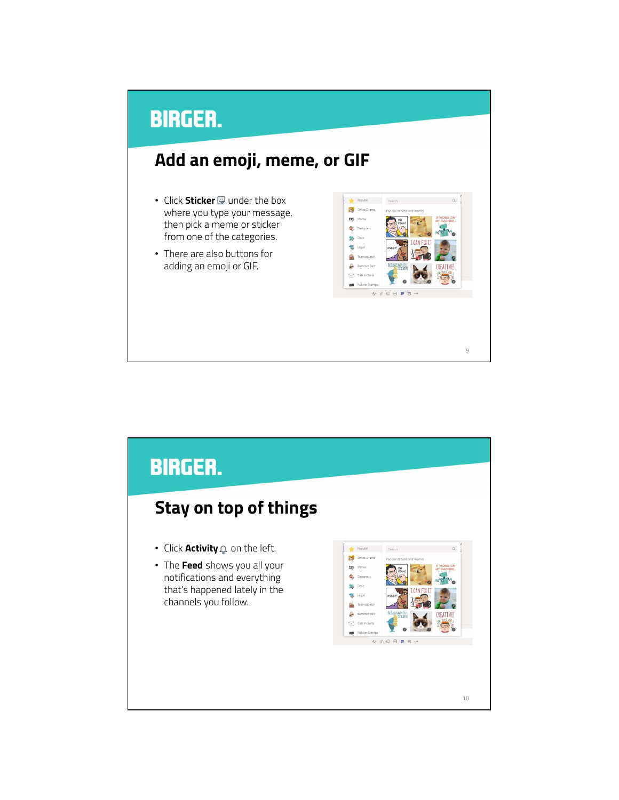# **BIRGER.** Add an emoji, meme, or GIF

- Click Sticker  $\overline{\mathcal{D}}$  under the box where you type your message, then pick a meme or sticker from one of the categories.
- There are also buttons for adding an emoji or GIF.



9

**BIRGER.** Stay on top of things • Click Activity a on the left. Popular Office Drama • The Feed shows you all your  $\frac{\log n}{\log n}$  . Meme notifications and everything **C**<sub>p</sub> Designe  $\frac{1}{20}$  Devs that's happened lately in the S channels you follow. $\mathcal{P}$  $\mathbb{R}$ CREATIVE  $\Box$  Ca  $\begin{array}{cccccccccccccc} \Delta & \triangle & \triangle & \square & \square & \square & \square & \square \end{array}$ 10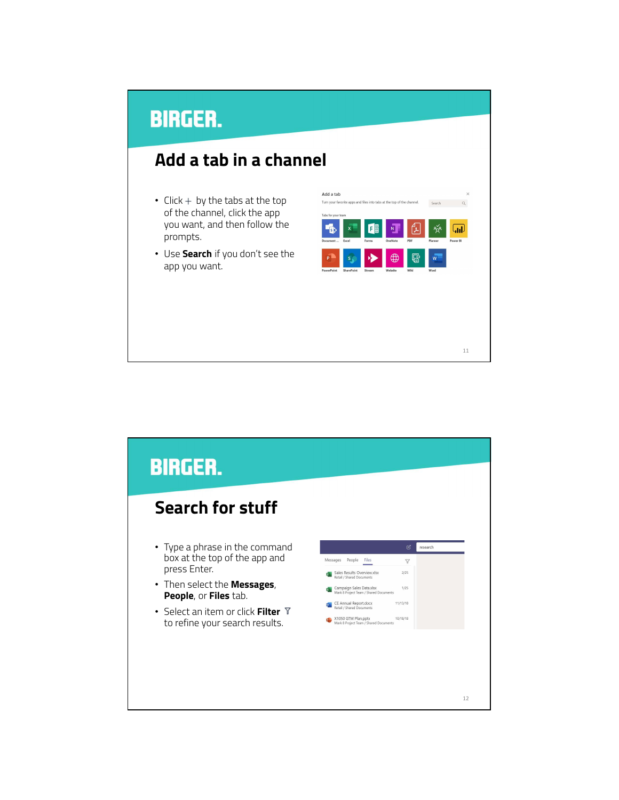#### Add a tab in a channel

- $Click + by the tabs at the top of the channel.$ of the channel, click the app you want, and then follow the prompts.
- Use Search if you don't see the app you want.



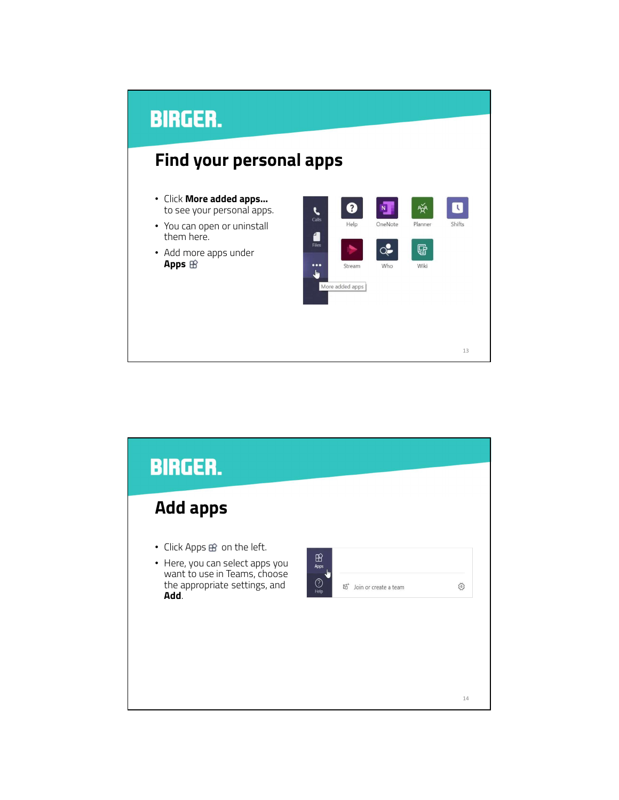#### **BIRGER.** Find your personal apps • Click More added apps…  $\bullet$  $\mathcal{P}^{\times}_{\mathbf{X}^{\mathbf{R}}}$  $N$  $\blacksquare$  $\sum_{\text{Calls}}$ to see your personal apps. Help OneNote Planner Shifts • You can open or uninstall  $\frac{1}{2}$  Files them here.  $Q^{\bullet}$  $\mathbb{G}$ • Add more apps under Apps  $\circledR$  $\ddot{\bullet}$ Wiki Stream Who  $\frac{1}{2}$ More added apps 13